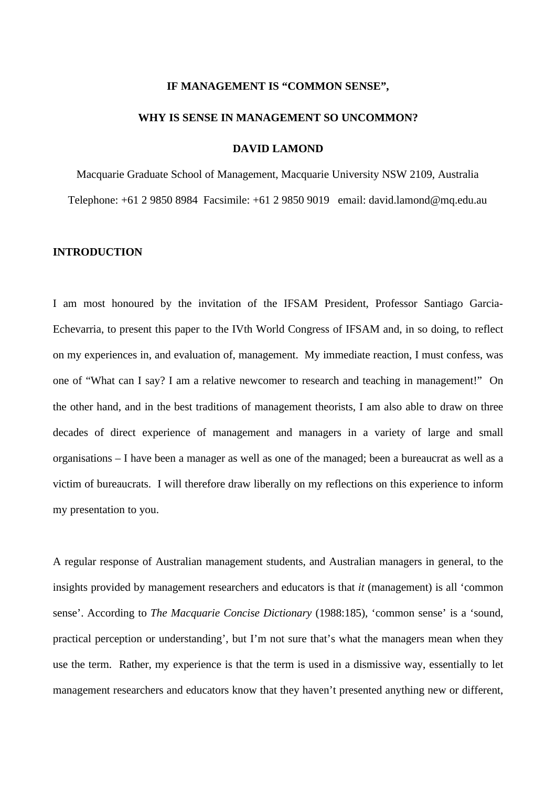#### **IF MANAGEMENT IS "COMMON SENSE",**

#### **WHY IS SENSE IN MANAGEMENT SO UNCOMMON?**

# **DAVID LAMOND**

Macquarie Graduate School of Management, Macquarie University NSW 2109, Australia Telephone: +61 2 9850 8984 Facsimile: +61 2 9850 9019 email: david.lamond@mq.edu.au

# **INTRODUCTION**

I am most honoured by the invitation of the IFSAM President, Professor Santiago Garcia-Echevarria, to present this paper to the IVth World Congress of IFSAM and, in so doing, to reflect on my experiences in, and evaluation of, management. My immediate reaction, I must confess, was one of "What can I say? I am a relative newcomer to research and teaching in management!" On the other hand, and in the best traditions of management theorists, I am also able to draw on three decades of direct experience of management and managers in a variety of large and small organisations – I have been a manager as well as one of the managed; been a bureaucrat as well as a victim of bureaucrats. I will therefore draw liberally on my reflections on this experience to inform my presentation to you.

A regular response of Australian management students, and Australian managers in general, to the insights provided by management researchers and educators is that *it* (management) is all 'common sense'. According to *The Macquarie Concise Dictionary* (1988:185), 'common sense' is a 'sound, practical perception or understanding', but I'm not sure that's what the managers mean when they use the term. Rather, my experience is that the term is used in a dismissive way, essentially to let management researchers and educators know that they haven't presented anything new or different,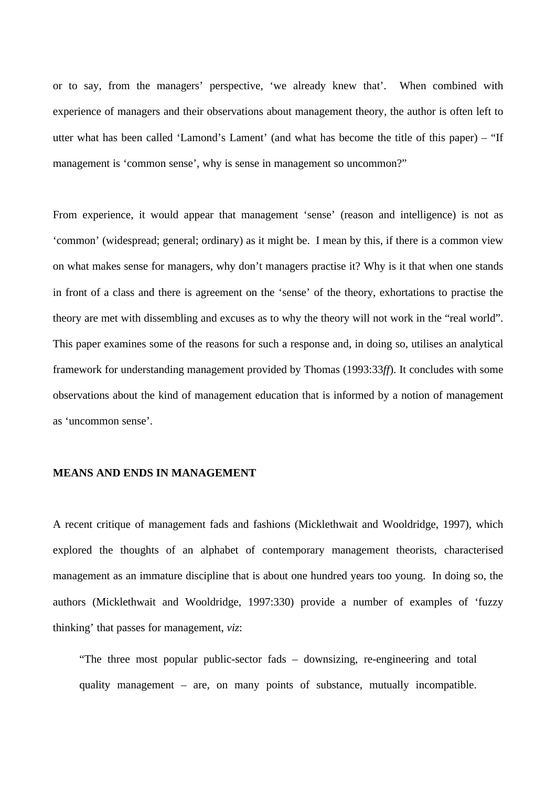or to say, from the managers' perspective, 'we already knew that'. When combined with experience of managers and their observations about management theory, the author is often left to utter what has been called 'Lamond's Lament' (and what has become the title of this paper) – "If management is 'common sense', why is sense in management so uncommon?"

From experience, it would appear that management 'sense' (reason and intelligence) is not as 'common' (widespread; general; ordinary) as it might be. I mean by this, if there is a common view on what makes sense for managers, why don't managers practise it? Why is it that when one stands in front of a class and there is agreement on the 'sense' of the theory, exhortations to practise the theory are met with dissembling and excuses as to why the theory will not work in the "real world". This paper examines some of the reasons for such a response and, in doing so, utilises an analytical framework for understanding management provided by Thomas (1993:33*ff*). It concludes with some observations about the kind of management education that is informed by a notion of management as 'uncommon sense'.

## **MEANS AND ENDS IN MANAGEMENT**

A recent critique of management fads and fashions (Micklethwait and Wooldridge, 1997), which explored the thoughts of an alphabet of contemporary management theorists, characterised management as an immature discipline that is about one hundred years too young. In doing so, the authors (Micklethwait and Wooldridge, 1997:330) provide a number of examples of 'fuzzy thinking' that passes for management, *viz*:

"The three most popular public-sector fads – downsizing, re-engineering and total quality management – are, on many points of substance, mutually incompatible.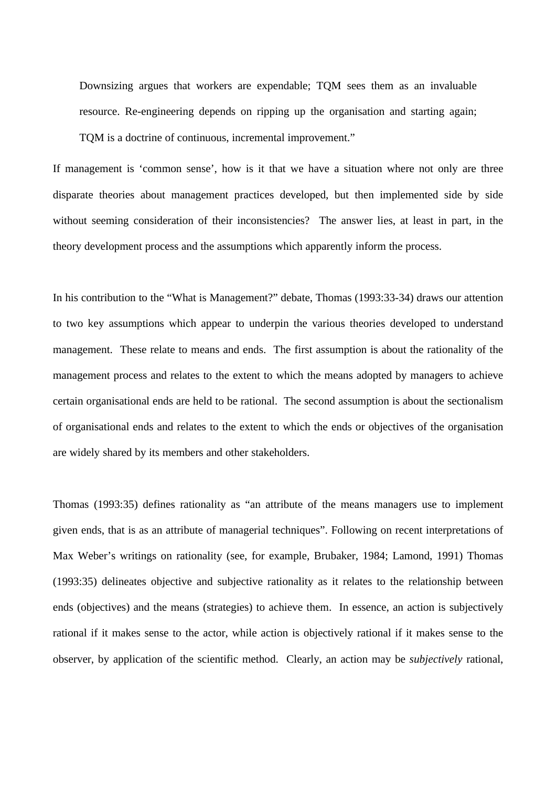Downsizing argues that workers are expendable; TQM sees them as an invaluable resource. Re-engineering depends on ripping up the organisation and starting again; TQM is a doctrine of continuous, incremental improvement."

If management is 'common sense', how is it that we have a situation where not only are three disparate theories about management practices developed, but then implemented side by side without seeming consideration of their inconsistencies? The answer lies, at least in part, in the theory development process and the assumptions which apparently inform the process.

In his contribution to the "What is Management?" debate, Thomas (1993:33-34) draws our attention to two key assumptions which appear to underpin the various theories developed to understand management. These relate to means and ends. The first assumption is about the rationality of the management process and relates to the extent to which the means adopted by managers to achieve certain organisational ends are held to be rational. The second assumption is about the sectionalism of organisational ends and relates to the extent to which the ends or objectives of the organisation are widely shared by its members and other stakeholders.

Thomas (1993:35) defines rationality as "an attribute of the means managers use to implement given ends, that is as an attribute of managerial techniques". Following on recent interpretations of Max Weber's writings on rationality (see, for example, Brubaker, 1984; Lamond, 1991) Thomas (1993:35) delineates objective and subjective rationality as it relates to the relationship between ends (objectives) and the means (strategies) to achieve them. In essence, an action is subjectively rational if it makes sense to the actor, while action is objectively rational if it makes sense to the observer, by application of the scientific method. Clearly, an action may be *subjectively* rational,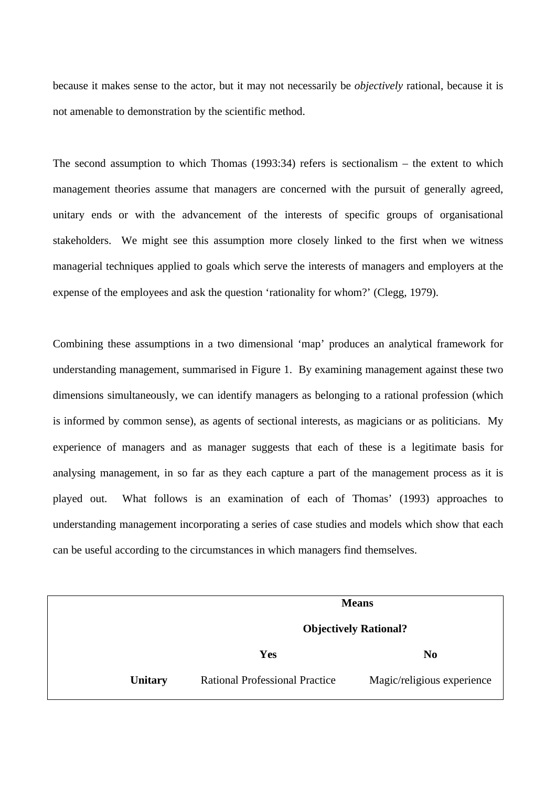because it makes sense to the actor, but it may not necessarily be *objectively* rational, because it is not amenable to demonstration by the scientific method.

The second assumption to which Thomas (1993:34) refers is sectionalism – the extent to which management theories assume that managers are concerned with the pursuit of generally agreed, unitary ends or with the advancement of the interests of specific groups of organisational stakeholders. We might see this assumption more closely linked to the first when we witness managerial techniques applied to goals which serve the interests of managers and employers at the expense of the employees and ask the question 'rationality for whom?' (Clegg, 1979).

Combining these assumptions in a two dimensional 'map' produces an analytical framework for understanding management, summarised in Figure 1. By examining management against these two dimensions simultaneously, we can identify managers as belonging to a rational profession (which is informed by common sense), as agents of sectional interests, as magicians or as politicians. My experience of managers and as manager suggests that each of these is a legitimate basis for analysing management, in so far as they each capture a part of the management process as it is played out. What follows is an examination of each of Thomas' (1993) approaches to understanding management incorporating a series of case studies and models which show that each can be useful according to the circumstances in which managers find themselves.

|                | <b>Means</b>                          |                            |  |
|----------------|---------------------------------------|----------------------------|--|
|                | <b>Objectively Rational?</b>          |                            |  |
|                | <b>Yes</b>                            | N <sub>0</sub>             |  |
| <b>Unitary</b> | <b>Rational Professional Practice</b> | Magic/religious experience |  |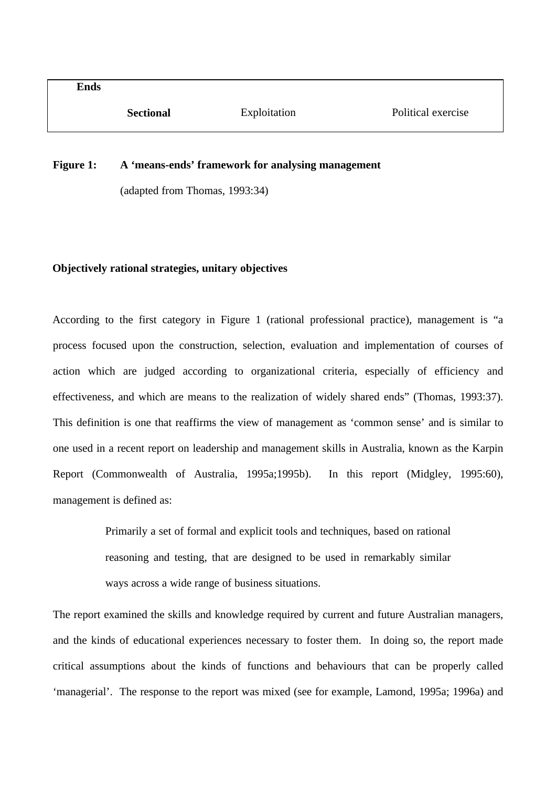## **Figure 1: A 'means-ends' framework for analysing management**

(adapted from Thomas, 1993:34)

## **Objectively rational strategies, unitary objectives**

According to the first category in Figure 1 (rational professional practice), management is "a process focused upon the construction, selection, evaluation and implementation of courses of action which are judged according to organizational criteria, especially of efficiency and effectiveness, and which are means to the realization of widely shared ends" (Thomas, 1993:37). This definition is one that reaffirms the view of management as 'common sense' and is similar to one used in a recent report on leadership and management skills in Australia, known as the Karpin Report (Commonwealth of Australia, 1995a;1995b). In this report (Midgley, 1995:60), management is defined as:

> Primarily a set of formal and explicit tools and techniques, based on rational reasoning and testing, that are designed to be used in remarkably similar ways across a wide range of business situations.

The report examined the skills and knowledge required by current and future Australian managers, and the kinds of educational experiences necessary to foster them. In doing so, the report made critical assumptions about the kinds of functions and behaviours that can be properly called 'managerial'. The response to the report was mixed (see for example, Lamond, 1995a; 1996a) and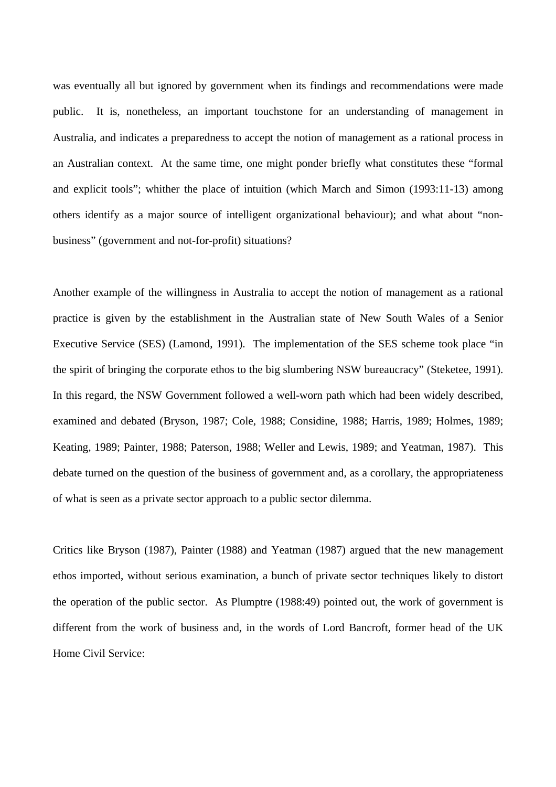was eventually all but ignored by government when its findings and recommendations were made public. It is, nonetheless, an important touchstone for an understanding of management in Australia, and indicates a preparedness to accept the notion of management as a rational process in an Australian context. At the same time, one might ponder briefly what constitutes these "formal and explicit tools"; whither the place of intuition (which March and Simon (1993:11-13) among others identify as a major source of intelligent organizational behaviour); and what about "nonbusiness" (government and not-for-profit) situations?

Another example of the willingness in Australia to accept the notion of management as a rational practice is given by the establishment in the Australian state of New South Wales of a Senior Executive Service (SES) (Lamond, 1991). The implementation of the SES scheme took place "in the spirit of bringing the corporate ethos to the big slumbering NSW bureaucracy" (Steketee, 1991). In this regard, the NSW Government followed a well-worn path which had been widely described, examined and debated (Bryson, 1987; Cole, 1988; Considine, 1988; Harris, 1989; Holmes, 1989; Keating, 1989; Painter, 1988; Paterson, 1988; Weller and Lewis, 1989; and Yeatman, 1987). This debate turned on the question of the business of government and, as a corollary, the appropriateness of what is seen as a private sector approach to a public sector dilemma.

Critics like Bryson (1987), Painter (1988) and Yeatman (1987) argued that the new management ethos imported, without serious examination, a bunch of private sector techniques likely to distort the operation of the public sector. As Plumptre (1988:49) pointed out, the work of government is different from the work of business and, in the words of Lord Bancroft, former head of the UK Home Civil Service: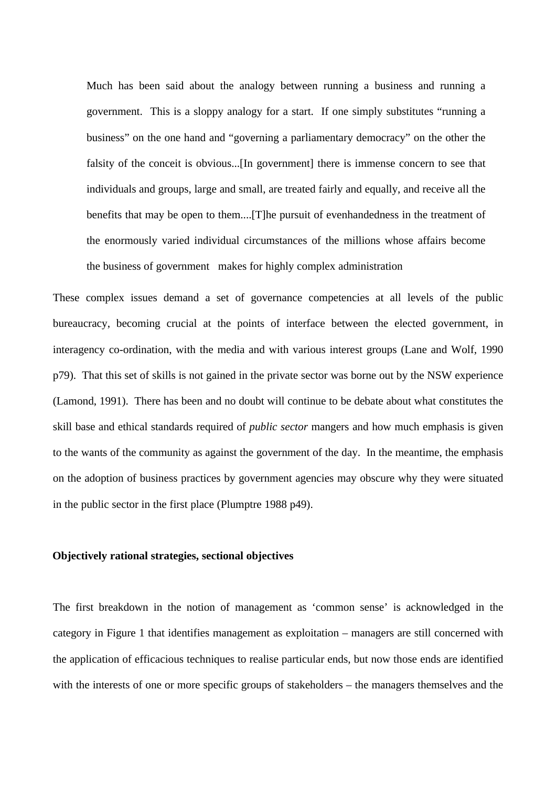Much has been said about the analogy between running a business and running a government. This is a sloppy analogy for a start. If one simply substitutes "running a business" on the one hand and "governing a parliamentary democracy" on the other the falsity of the conceit is obvious...[In government] there is immense concern to see that individuals and groups, large and small, are treated fairly and equally, and receive all the benefits that may be open to them....[T]he pursuit of evenhandedness in the treatment of the enormously varied individual circumstances of the millions whose affairs become the business of government makes for highly complex administration

These complex issues demand a set of governance competencies at all levels of the public bureaucracy, becoming crucial at the points of interface between the elected government, in interagency co-ordination, with the media and with various interest groups (Lane and Wolf, 1990 p79). That this set of skills is not gained in the private sector was borne out by the NSW experience (Lamond, 1991). There has been and no doubt will continue to be debate about what constitutes the skill base and ethical standards required of *public sector* mangers and how much emphasis is given to the wants of the community as against the government of the day. In the meantime, the emphasis on the adoption of business practices by government agencies may obscure why they were situated in the public sector in the first place (Plumptre 1988 p49).

#### **Objectively rational strategies, sectional objectives**

The first breakdown in the notion of management as 'common sense' is acknowledged in the category in Figure 1 that identifies management as exploitation – managers are still concerned with the application of efficacious techniques to realise particular ends, but now those ends are identified with the interests of one or more specific groups of stakeholders – the managers themselves and the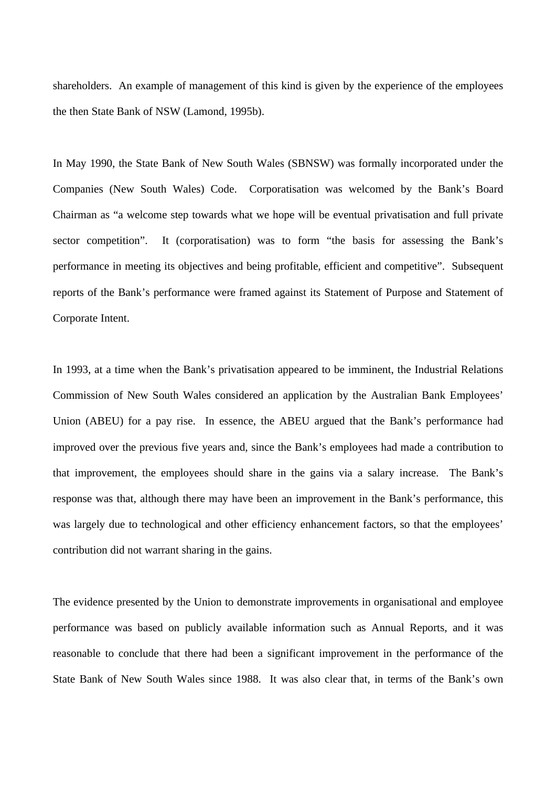shareholders. An example of management of this kind is given by the experience of the employees the then State Bank of NSW (Lamond, 1995b).

In May 1990, the State Bank of New South Wales (SBNSW) was formally incorporated under the Companies (New South Wales) Code. Corporatisation was welcomed by the Bank's Board Chairman as "a welcome step towards what we hope will be eventual privatisation and full private sector competition". It (corporatisation) was to form "the basis for assessing the Bank's performance in meeting its objectives and being profitable, efficient and competitive". Subsequent reports of the Bank's performance were framed against its Statement of Purpose and Statement of Corporate Intent.

In 1993, at a time when the Bank's privatisation appeared to be imminent, the Industrial Relations Commission of New South Wales considered an application by the Australian Bank Employees' Union (ABEU) for a pay rise. In essence, the ABEU argued that the Bank's performance had improved over the previous five years and, since the Bank's employees had made a contribution to that improvement, the employees should share in the gains via a salary increase. The Bank's response was that, although there may have been an improvement in the Bank's performance, this was largely due to technological and other efficiency enhancement factors, so that the employees' contribution did not warrant sharing in the gains.

The evidence presented by the Union to demonstrate improvements in organisational and employee performance was based on publicly available information such as Annual Reports, and it was reasonable to conclude that there had been a significant improvement in the performance of the State Bank of New South Wales since 1988. It was also clear that, in terms of the Bank's own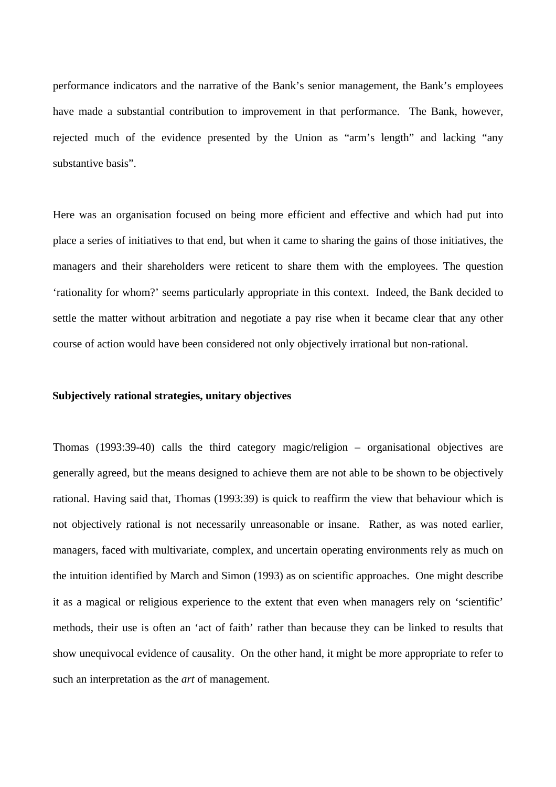performance indicators and the narrative of the Bank's senior management, the Bank's employees have made a substantial contribution to improvement in that performance. The Bank, however, rejected much of the evidence presented by the Union as "arm's length" and lacking "any substantive basis".

Here was an organisation focused on being more efficient and effective and which had put into place a series of initiatives to that end, but when it came to sharing the gains of those initiatives, the managers and their shareholders were reticent to share them with the employees. The question 'rationality for whom?' seems particularly appropriate in this context. Indeed, the Bank decided to settle the matter without arbitration and negotiate a pay rise when it became clear that any other course of action would have been considered not only objectively irrational but non-rational.

### **Subjectively rational strategies, unitary objectives**

Thomas (1993:39-40) calls the third category magic/religion – organisational objectives are generally agreed, but the means designed to achieve them are not able to be shown to be objectively rational. Having said that, Thomas (1993:39) is quick to reaffirm the view that behaviour which is not objectively rational is not necessarily unreasonable or insane. Rather, as was noted earlier, managers, faced with multivariate, complex, and uncertain operating environments rely as much on the intuition identified by March and Simon (1993) as on scientific approaches. One might describe it as a magical or religious experience to the extent that even when managers rely on 'scientific' methods, their use is often an 'act of faith' rather than because they can be linked to results that show unequivocal evidence of causality. On the other hand, it might be more appropriate to refer to such an interpretation as the *art* of management.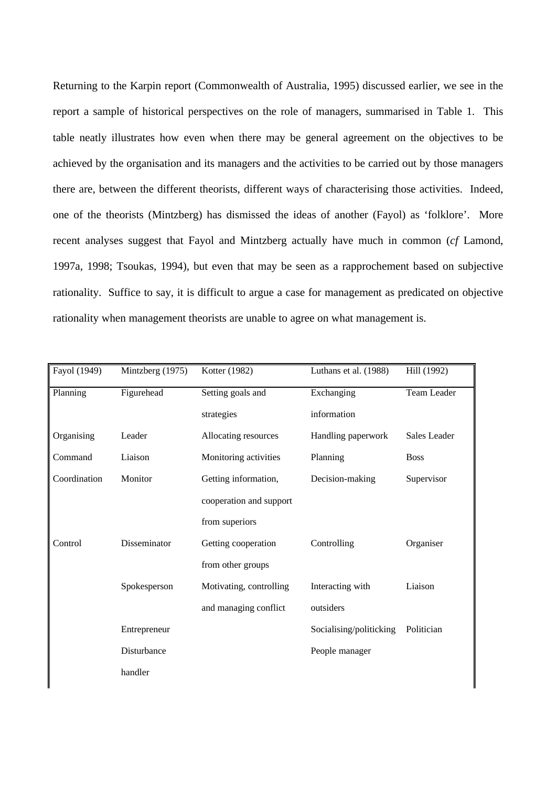Returning to the Karpin report (Commonwealth of Australia, 1995) discussed earlier, we see in the report a sample of historical perspectives on the role of managers, summarised in Table 1. This table neatly illustrates how even when there may be general agreement on the objectives to be achieved by the organisation and its managers and the activities to be carried out by those managers there are, between the different theorists, different ways of characterising those activities. Indeed, one of the theorists (Mintzberg) has dismissed the ideas of another (Fayol) as 'folklore'. More recent analyses suggest that Fayol and Mintzberg actually have much in common (*cf* Lamond, 1997a, 1998; Tsoukas, 1994), but even that may be seen as a rapprochement based on subjective rationality. Suffice to say, it is difficult to argue a case for management as predicated on objective rationality when management theorists are unable to agree on what management is.

| Fayol (1949) | Mintzberg (1975) | Kotter (1982)           | Luthans et al. (1988)   | Hill (1992)  |
|--------------|------------------|-------------------------|-------------------------|--------------|
| Planning     | Figurehead       | Setting goals and       | Exchanging              | Team Leader  |
|              |                  | strategies              | information             |              |
| Organising   | Leader           | Allocating resources    | Handling paperwork      | Sales Leader |
| Command      | Liaison          | Monitoring activities   | Planning                | <b>Boss</b>  |
| Coordination | Monitor          | Getting information,    | Decision-making         | Supervisor   |
|              |                  | cooperation and support |                         |              |
|              |                  | from superiors          |                         |              |
| Control      | Disseminator     | Getting cooperation     | Controlling             | Organiser    |
|              |                  | from other groups       |                         |              |
|              | Spokesperson     | Motivating, controlling | Interacting with        | Liaison      |
|              |                  | and managing conflict   | outsiders               |              |
|              | Entrepreneur     |                         | Socialising/politicking | Politician   |
|              | Disturbance      |                         | People manager          |              |
|              | handler          |                         |                         |              |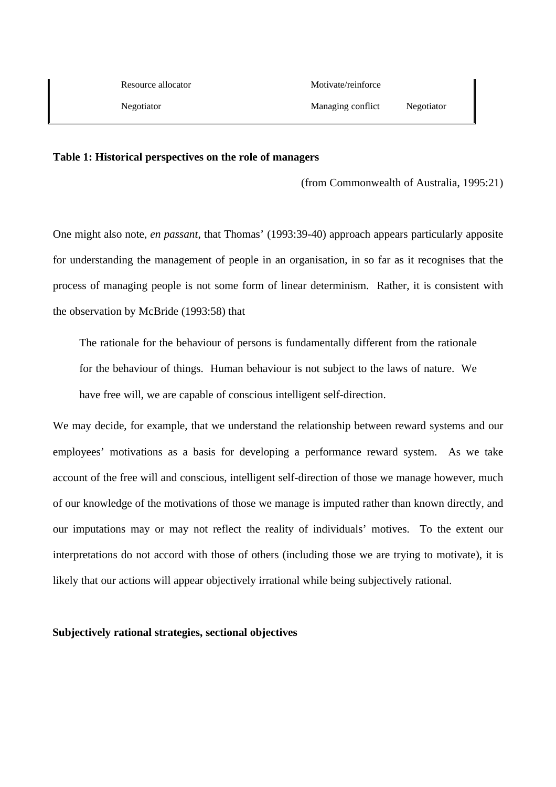#### **Table 1: Historical perspectives on the role of managers**

(from Commonwealth of Australia, 1995:21)

One might also note, *en passant*, that Thomas' (1993:39-40) approach appears particularly apposite for understanding the management of people in an organisation, in so far as it recognises that the process of managing people is not some form of linear determinism. Rather, it is consistent with the observation by McBride (1993:58) that

The rationale for the behaviour of persons is fundamentally different from the rationale for the behaviour of things. Human behaviour is not subject to the laws of nature. We have free will, we are capable of conscious intelligent self-direction.

We may decide, for example, that we understand the relationship between reward systems and our employees' motivations as a basis for developing a performance reward system. As we take account of the free will and conscious, intelligent self-direction of those we manage however, much of our knowledge of the motivations of those we manage is imputed rather than known directly, and our imputations may or may not reflect the reality of individuals' motives. To the extent our interpretations do not accord with those of others (including those we are trying to motivate), it is likely that our actions will appear objectively irrational while being subjectively rational.

# **Subjectively rational strategies, sectional objectives**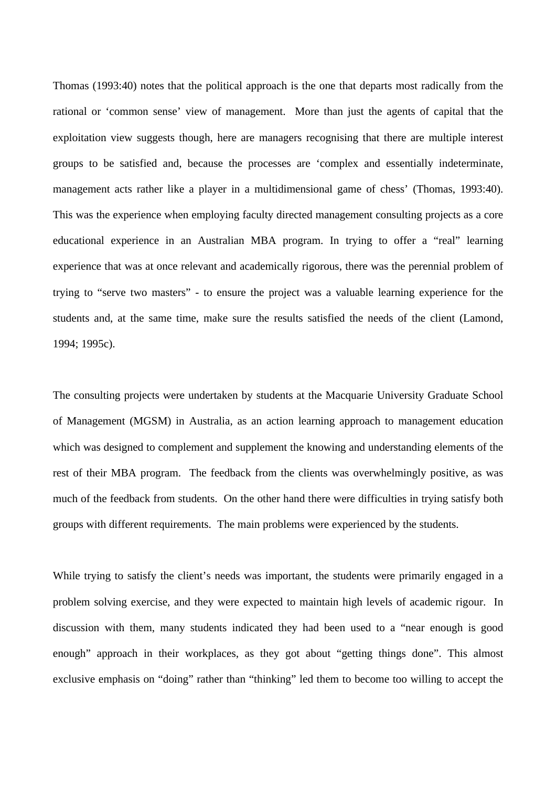Thomas (1993:40) notes that the political approach is the one that departs most radically from the rational or 'common sense' view of management. More than just the agents of capital that the exploitation view suggests though, here are managers recognising that there are multiple interest groups to be satisfied and, because the processes are 'complex and essentially indeterminate, management acts rather like a player in a multidimensional game of chess' (Thomas, 1993:40). This was the experience when employing faculty directed management consulting projects as a core educational experience in an Australian MBA program. In trying to offer a "real" learning experience that was at once relevant and academically rigorous, there was the perennial problem of trying to "serve two masters" - to ensure the project was a valuable learning experience for the students and, at the same time, make sure the results satisfied the needs of the client (Lamond, 1994; 1995c).

The consulting projects were undertaken by students at the Macquarie University Graduate School of Management (MGSM) in Australia, as an action learning approach to management education which was designed to complement and supplement the knowing and understanding elements of the rest of their MBA program. The feedback from the clients was overwhelmingly positive, as was much of the feedback from students. On the other hand there were difficulties in trying satisfy both groups with different requirements. The main problems were experienced by the students.

While trying to satisfy the client's needs was important, the students were primarily engaged in a problem solving exercise, and they were expected to maintain high levels of academic rigour. In discussion with them, many students indicated they had been used to a "near enough is good enough" approach in their workplaces, as they got about "getting things done". This almost exclusive emphasis on "doing" rather than "thinking" led them to become too willing to accept the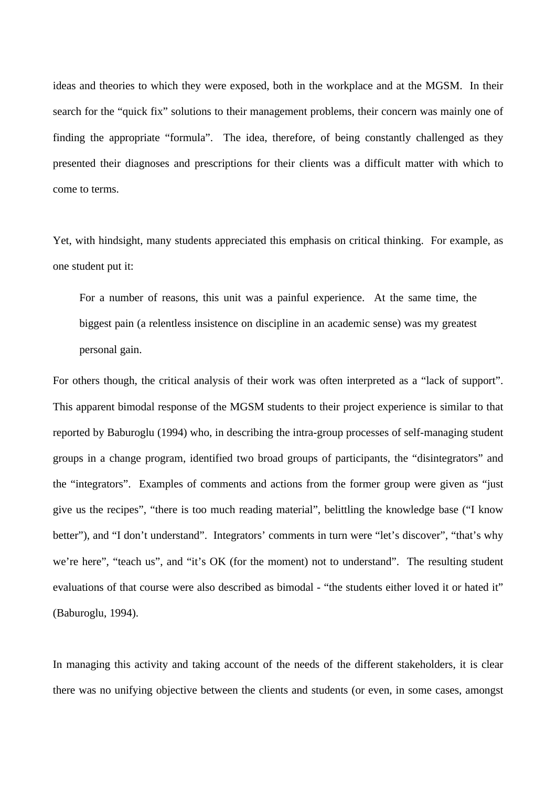ideas and theories to which they were exposed, both in the workplace and at the MGSM. In their search for the "quick fix" solutions to their management problems, their concern was mainly one of finding the appropriate "formula". The idea, therefore, of being constantly challenged as they presented their diagnoses and prescriptions for their clients was a difficult matter with which to come to terms.

Yet, with hindsight, many students appreciated this emphasis on critical thinking. For example, as one student put it:

For a number of reasons, this unit was a painful experience. At the same time, the biggest pain (a relentless insistence on discipline in an academic sense) was my greatest personal gain.

For others though, the critical analysis of their work was often interpreted as a "lack of support". This apparent bimodal response of the MGSM students to their project experience is similar to that reported by Baburoglu (1994) who, in describing the intra-group processes of self-managing student groups in a change program, identified two broad groups of participants, the "disintegrators" and the "integrators". Examples of comments and actions from the former group were given as "just give us the recipes", "there is too much reading material", belittling the knowledge base ("I know better"), and "I don't understand". Integrators' comments in turn were "let's discover", "that's why we're here", "teach us", and "it's OK (for the moment) not to understand". The resulting student evaluations of that course were also described as bimodal - "the students either loved it or hated it" (Baburoglu, 1994).

In managing this activity and taking account of the needs of the different stakeholders, it is clear there was no unifying objective between the clients and students (or even, in some cases, amongst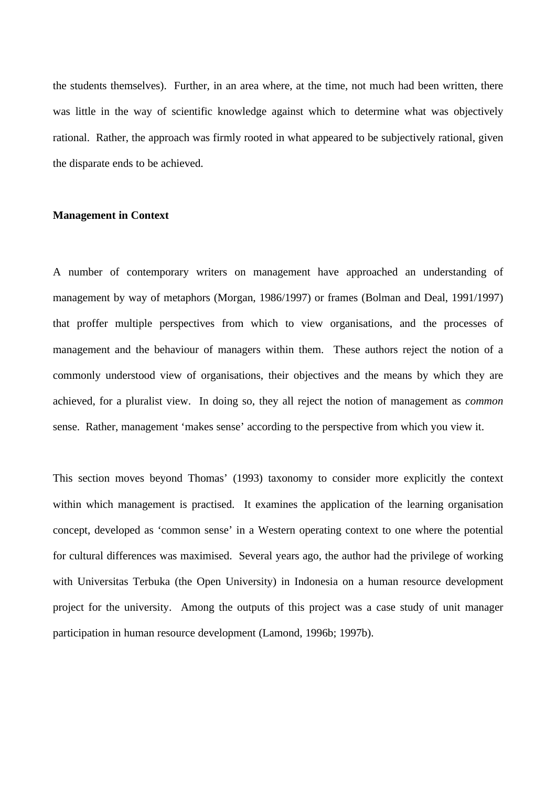the students themselves). Further, in an area where, at the time, not much had been written, there was little in the way of scientific knowledge against which to determine what was objectively rational. Rather, the approach was firmly rooted in what appeared to be subjectively rational, given the disparate ends to be achieved.

## **Management in Context**

A number of contemporary writers on management have approached an understanding of management by way of metaphors (Morgan, 1986/1997) or frames (Bolman and Deal, 1991/1997) that proffer multiple perspectives from which to view organisations, and the processes of management and the behaviour of managers within them. These authors reject the notion of a commonly understood view of organisations, their objectives and the means by which they are achieved, for a pluralist view. In doing so, they all reject the notion of management as *common* sense. Rather, management 'makes sense' according to the perspective from which you view it.

This section moves beyond Thomas' (1993) taxonomy to consider more explicitly the context within which management is practised. It examines the application of the learning organisation concept, developed as 'common sense' in a Western operating context to one where the potential for cultural differences was maximised. Several years ago, the author had the privilege of working with Universitas Terbuka (the Open University) in Indonesia on a human resource development project for the university. Among the outputs of this project was a case study of unit manager participation in human resource development (Lamond, 1996b; 1997b).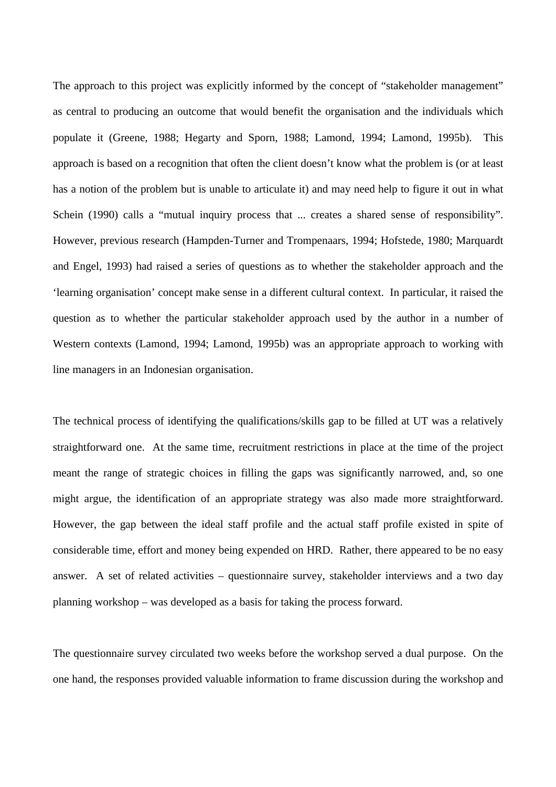The approach to this project was explicitly informed by the concept of "stakeholder management" as central to producing an outcome that would benefit the organisation and the individuals which populate it (Greene, 1988; Hegarty and Sporn, 1988; Lamond, 1994; Lamond, 1995b). This approach is based on a recognition that often the client doesn't know what the problem is (or at least has a notion of the problem but is unable to articulate it) and may need help to figure it out in what Schein (1990) calls a "mutual inquiry process that ... creates a shared sense of responsibility". However, previous research (Hampden-Turner and Trompenaars, 1994; Hofstede, 1980; Marquardt and Engel, 1993) had raised a series of questions as to whether the stakeholder approach and the 'learning organisation' concept make sense in a different cultural context. In particular, it raised the question as to whether the particular stakeholder approach used by the author in a number of Western contexts (Lamond, 1994; Lamond, 1995b) was an appropriate approach to working with line managers in an Indonesian organisation.

The technical process of identifying the qualifications/skills gap to be filled at UT was a relatively straightforward one. At the same time, recruitment restrictions in place at the time of the project meant the range of strategic choices in filling the gaps was significantly narrowed, and, so one might argue, the identification of an appropriate strategy was also made more straightforward. However, the gap between the ideal staff profile and the actual staff profile existed in spite of considerable time, effort and money being expended on HRD. Rather, there appeared to be no easy answer. A set of related activities – questionnaire survey, stakeholder interviews and a two day planning workshop – was developed as a basis for taking the process forward.

The questionnaire survey circulated two weeks before the workshop served a dual purpose. On the one hand, the responses provided valuable information to frame discussion during the workshop and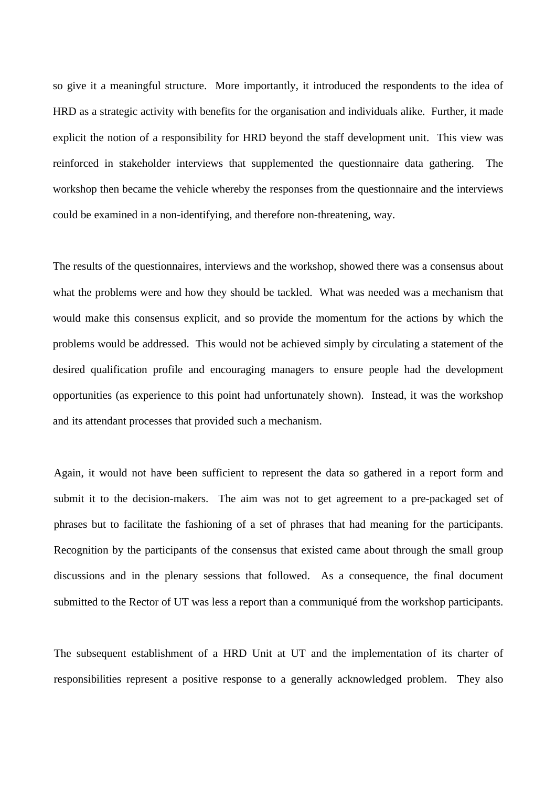so give it a meaningful structure. More importantly, it introduced the respondents to the idea of HRD as a strategic activity with benefits for the organisation and individuals alike. Further, it made explicit the notion of a responsibility for HRD beyond the staff development unit. This view was reinforced in stakeholder interviews that supplemented the questionnaire data gathering. The workshop then became the vehicle whereby the responses from the questionnaire and the interviews could be examined in a non-identifying, and therefore non-threatening, way.

The results of the questionnaires, interviews and the workshop, showed there was a consensus about what the problems were and how they should be tackled. What was needed was a mechanism that would make this consensus explicit, and so provide the momentum for the actions by which the problems would be addressed. This would not be achieved simply by circulating a statement of the desired qualification profile and encouraging managers to ensure people had the development opportunities (as experience to this point had unfortunately shown). Instead, it was the workshop and its attendant processes that provided such a mechanism.

Again, it would not have been sufficient to represent the data so gathered in a report form and submit it to the decision-makers. The aim was not to get agreement to a pre-packaged set of phrases but to facilitate the fashioning of a set of phrases that had meaning for the participants. Recognition by the participants of the consensus that existed came about through the small group discussions and in the plenary sessions that followed. As a consequence, the final document submitted to the Rector of UT was less a report than a communiqué from the workshop participants.

The subsequent establishment of a HRD Unit at UT and the implementation of its charter of responsibilities represent a positive response to a generally acknowledged problem. They also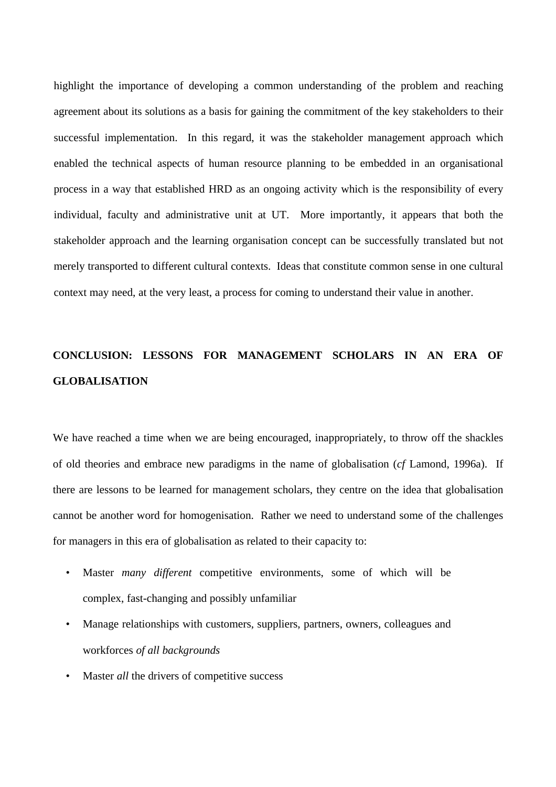highlight the importance of developing a common understanding of the problem and reaching agreement about its solutions as a basis for gaining the commitment of the key stakeholders to their successful implementation. In this regard, it was the stakeholder management approach which enabled the technical aspects of human resource planning to be embedded in an organisational process in a way that established HRD as an ongoing activity which is the responsibility of every individual, faculty and administrative unit at UT. More importantly, it appears that both the stakeholder approach and the learning organisation concept can be successfully translated but not merely transported to different cultural contexts. Ideas that constitute common sense in one cultural context may need, at the very least, a process for coming to understand their value in another.

# **CONCLUSION: LESSONS FOR MANAGEMENT SCHOLARS IN AN ERA OF GLOBALISATION**

We have reached a time when we are being encouraged, inappropriately, to throw off the shackles of old theories and embrace new paradigms in the name of globalisation (*cf* Lamond, 1996a). If there are lessons to be learned for management scholars, they centre on the idea that globalisation cannot be another word for homogenisation. Rather we need to understand some of the challenges for managers in this era of globalisation as related to their capacity to:

- Master *many different* competitive environments, some of which will be complex, fast-changing and possibly unfamiliar
- Manage relationships with customers, suppliers, partners, owners, colleagues and workforces *of all backgrounds*
- Master *all* the drivers of competitive success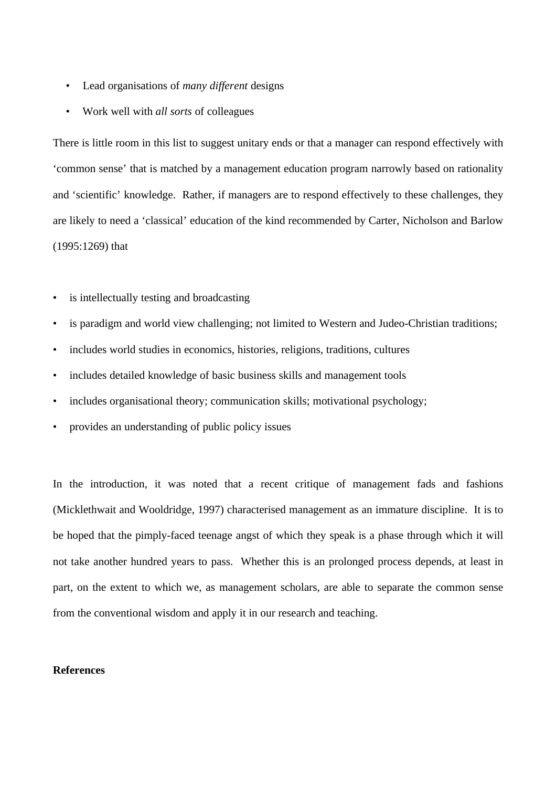- Lead organisations of *many different* designs
- Work well with *all sorts* of colleagues

There is little room in this list to suggest unitary ends or that a manager can respond effectively with 'common sense' that is matched by a management education program narrowly based on rationality and 'scientific' knowledge. Rather, if managers are to respond effectively to these challenges, they are likely to need a 'classical' education of the kind recommended by Carter, Nicholson and Barlow (1995:1269) that

- is intellectually testing and broadcasting
- is paradigm and world view challenging; not limited to Western and Judeo-Christian traditions;
- includes world studies in economics, histories, religions, traditions, cultures
- includes detailed knowledge of basic business skills and management tools
- includes organisational theory; communication skills; motivational psychology;
- provides an understanding of public policy issues

In the introduction, it was noted that a recent critique of management fads and fashions (Micklethwait and Wooldridge, 1997) characterised management as an immature discipline. It is to be hoped that the pimply-faced teenage angst of which they speak is a phase through which it will not take another hundred years to pass. Whether this is an prolonged process depends, at least in part, on the extent to which we, as management scholars, are able to separate the common sense from the conventional wisdom and apply it in our research and teaching.

# **References**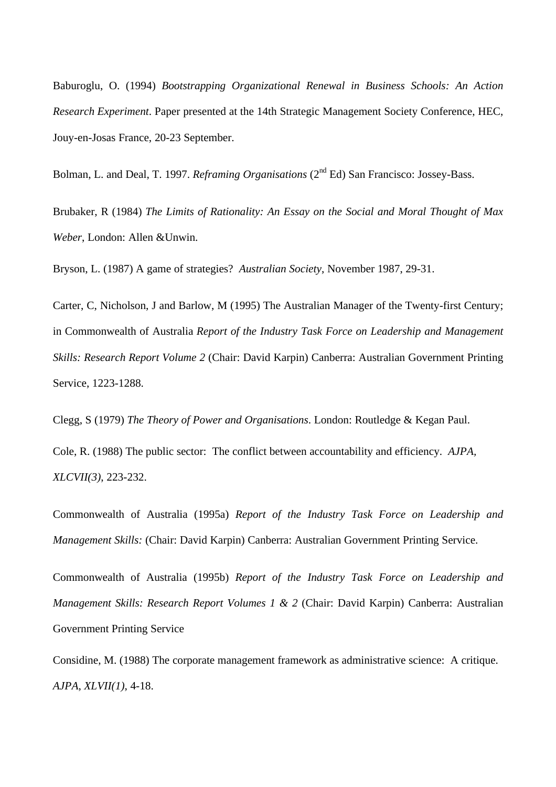Baburoglu, O. (1994) *Bootstrapping Organizational Renewal in Business Schools: An Action Research Experiment*. Paper presented at the 14th Strategic Management Society Conference, HEC, Jouy-en-Josas France, 20-23 September.

Bolman, L. and Deal, T. 1997. *Reframing Organisations* (2<sup>nd</sup> Ed) San Francisco: Jossey-Bass.

Brubaker, R (1984) *The Limits of Rationality: An Essay on the Social and Moral Thought of Max Weber*, London: Allen &Unwin.

Bryson, L. (1987) A game of strategies? *Australian Society*, November 1987, 29-31.

Carter, C, Nicholson, J and Barlow, M (1995) The Australian Manager of the Twenty-first Century; in Commonwealth of Australia *Report of the Industry Task Force on Leadership and Management Skills: Research Report Volume 2* (Chair: David Karpin) Canberra: Australian Government Printing Service, 1223-1288.

Clegg, S (1979) *The Theory of Power and Organisations*. London: Routledge & Kegan Paul.

Cole, R. (1988) The public sector: The conflict between accountability and efficiency. *AJPA, XLCVII(3)*, 223-232.

Commonwealth of Australia (1995a) *Report of the Industry Task Force on Leadership and Management Skills:* (Chair: David Karpin) Canberra: Australian Government Printing Service.

Commonwealth of Australia (1995b) *Report of the Industry Task Force on Leadership and Management Skills: Research Report Volumes 1 & 2 (Chair: David Karpin) Canberra: Australian* Government Printing Service

Considine, M. (1988) The corporate management framework as administrative science: A critique. *AJPA*, *XLVII(1)*, 4-18.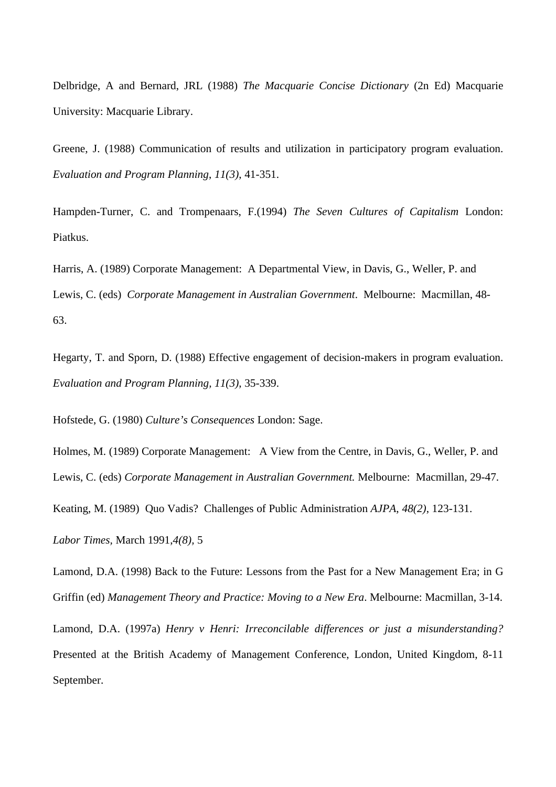Delbridge, A and Bernard, JRL (1988) *The Macquarie Concise Dictionary* (2n Ed) Macquarie University: Macquarie Library.

Greene, J. (1988) Communication of results and utilization in participatory program evaluation. *Evaluation and Program Planning*, *11(3)*, 41-351.

Hampden-Turner, C. and Trompenaars, F.(1994) *The Seven Cultures of Capitalism* London: Piatkus.

Harris, A. (1989) Corporate Management: A Departmental View, in Davis, G., Weller, P. and Lewis, C. (eds) *Corporate Management in Australian Government*. Melbourne: Macmillan, 48- 63.

Hegarty, T. and Sporn, D. (1988) Effective engagement of decision-makers in program evaluation. *Evaluation and Program Planning, 11(3)*, 35-339.

Hofstede, G. (1980) *Culture's Consequences* London: Sage.

Holmes, M. (1989) Corporate Management: A View from the Centre, in Davis, G., Weller, P. and Lewis, C. (eds) *Corporate Management in Australian Government.* Melbourne: Macmillan, 29-47.

Keating, M. (1989) Quo Vadis? Challenges of Public Administration *AJPA*, *48(2)*, 123-131.

*Labor Times,* March 1991,*4(8),* 5

Lamond, D.A. (1998) Back to the Future: Lessons from the Past for a New Management Era; in G Griffin (ed) *Management Theory and Practice: Moving to a New Era*. Melbourne: Macmillan, 3-14.

Lamond, D.A. (1997a) *Henry v Henri: Irreconcilable differences or just a misunderstanding?* Presented at the British Academy of Management Conference, London, United Kingdom, 8-11 September.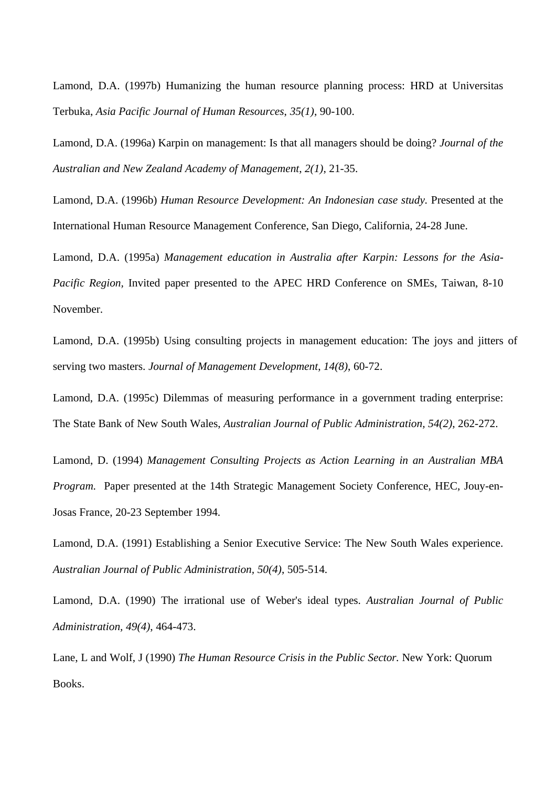Lamond, D.A. (1997b) Humanizing the human resource planning process: HRD at Universitas Terbuka, *Asia Pacific Journal of Human Resources*, *35(1)*, 90-100.

Lamond, D.A. (1996a) Karpin on management: Is that all managers should be doing? *Journal of the Australian and New Zealand Academy of Management*, *2(1)*, 21-35.

Lamond, D.A. (1996b) *Human Resource Development: An Indonesian case study.* Presented at the International Human Resource Management Conference, San Diego, California, 24-28 June.

Lamond, D.A. (1995a) *Management education in Australia after Karpin: Lessons for the Asia-Pacific Region,* Invited paper presented to the APEC HRD Conference on SMEs, Taiwan, 8-10 November.

Lamond, D.A. (1995b) Using consulting projects in management education: The joys and jitters of serving two masters. *Journal of Management Development*, *14(8)*, 60-72.

Lamond, D.A. (1995c) Dilemmas of measuring performance in a government trading enterprise: The State Bank of New South Wales, *Australian Journal of Public Administration, 54(2)*, 262-272.

Lamond, D. (1994) *Management Consulting Projects as Action Learning in an Australian MBA Program.* Paper presented at the 14th Strategic Management Society Conference, HEC, Jouy-en-Josas France, 20-23 September 1994.

Lamond, D.A. (1991) Establishing a Senior Executive Service: The New South Wales experience. *Australian Journal of Public Administration, 50(4)*, 505-514.

Lamond, D.A. (1990) The irrational use of Weber's ideal types. *Australian Journal of Public Administration, 49(4)*, 464-473.

Lane, L and Wolf, J (1990) *The Human Resource Crisis in the Public Sector.* New York: Quorum Books.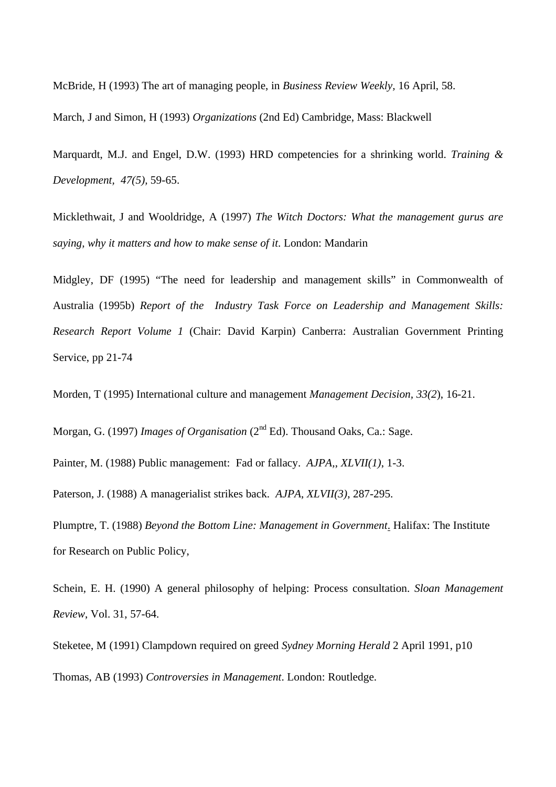McBride, H (1993) The art of managing people, in *Business Review Weekly,* 16 April, 58.

March, J and Simon, H (1993) *Organizations* (2nd Ed) Cambridge, Mass: Blackwell

Marquardt, M.J. and Engel, D.W. (1993) HRD competencies for a shrinking world. *Training & Development, 47(5),* 59-65.

Micklethwait, J and Wooldridge, A (1997) *The Witch Doctors: What the management gurus are saying, why it matters and how to make sense of it*. London: Mandarin

Midgley, DF (1995) "The need for leadership and management skills" in Commonwealth of Australia (1995b) *Report of the Industry Task Force on Leadership and Management Skills: Research Report Volume 1* (Chair: David Karpin) Canberra: Australian Government Printing Service, pp 21-74

Morden, T (1995) International culture and management *Management Decision, 33(2*), 16-21.

Morgan, G. (1997) *Images of Organisation* (2<sup>nd</sup> Ed). Thousand Oaks, Ca.: Sage.

Painter, M. (1988) Public management: Fad or fallacy. *AJPA,*, *XLVII(1)*, 1-3.

Paterson, J. (1988) A managerialist strikes back. *AJPA*, *XLVII(3)*, 287-295.

Plumptre, T. (1988) *Beyond the Bottom Line: Management in Government*. Halifax: The Institute for Research on Public Policy,

Schein, E. H. (1990) A general philosophy of helping: Process consultation. *Sloan Management Review*, Vol. 31, 57-64.

Steketee, M (1991) Clampdown required on greed *Sydney Morning Herald* 2 April 1991, p10 Thomas, AB (1993) *Controversies in Management*. London: Routledge.